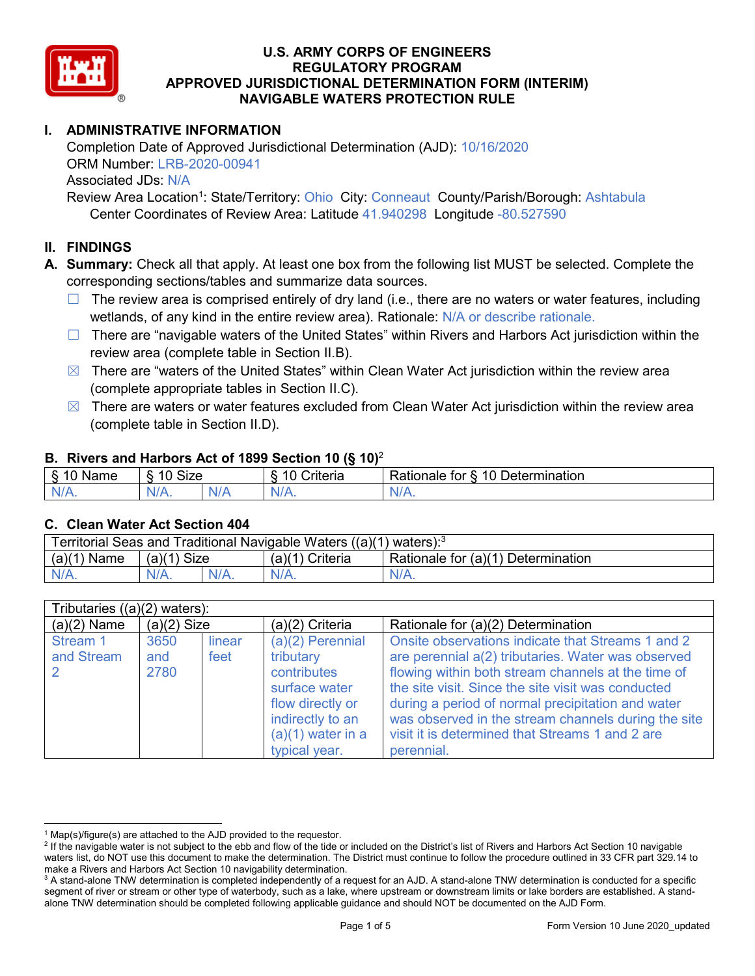

# **I. ADMINISTRATIVE INFORMATION**

Completion Date of Approved Jurisdictional Determination (AJD): 10/16/2020 ORM Number: LRB-2020-00941 Associated JDs: N/A

Review Area Location<sup>1</sup>: State/Territory: Ohio City: Conneaut County/Parish/Borough: Ashtabula Center Coordinates of Review Area: Latitude 41.940298 Longitude -80.527590

# **II. FINDINGS**

**A. Summary:** Check all that apply. At least one box from the following list MUST be selected. Complete the corresponding sections/tables and summarize data sources.

- $\Box$  The review area is comprised entirely of dry land (i.e., there are no waters or water features, including wetlands, of any kind in the entire review area). Rationale: N/A or describe rationale.
- $\Box$  There are "navigable waters of the United States" within Rivers and Harbors Act jurisdiction within the review area (complete table in Section II.B).
- $\boxtimes$  There are "waters of the United States" within Clean Water Act jurisdiction within the review area (complete appropriate tables in Section II.C).
- $\boxtimes$  There are waters or water features excluded from Clean Water Act jurisdiction within the review area (complete table in Section II.D).

#### **B. Rivers and Harbors Act of 1899 Section 10 (§ 10)**<sup>2</sup>

| $\sim$<br>$m = m$<br>ame<br>v | <b>Size</b><br>10 |     | .<br>10<br>-<br>∶riteria | ∽<br>-<br>$\Delta$<br>Rationale<br>Jetermination<br>tor |  |  |  |
|-------------------------------|-------------------|-----|--------------------------|---------------------------------------------------------|--|--|--|
| $N/A$ .                       | $N/A$ .           | N/r | $N/A$ .                  | 'NL<br>$\mathbf{v}$                                     |  |  |  |

#### **C. Clean Water Act Section 404**

| Territorial Seas and Traditional Navigable Waters $((a)(1)$ waters): <sup>3</sup> |                |  |                                |                                    |  |
|-----------------------------------------------------------------------------------|----------------|--|--------------------------------|------------------------------------|--|
| (a)(1)<br>Name                                                                    | (a)(1)<br>Size |  | (a)(1<br><sup>1</sup> Criteria | Rationale for (a)(1) Determination |  |
|                                                                                   | $N/A$ .        |  | $N/A$ .                        | $N/A$ .                            |  |

| Tributaries $((a)(2)$ waters): |                     |                |                                                                                                                                                 |                                                                                                                                                                                                                                                                                                                                                                                                  |  |
|--------------------------------|---------------------|----------------|-------------------------------------------------------------------------------------------------------------------------------------------------|--------------------------------------------------------------------------------------------------------------------------------------------------------------------------------------------------------------------------------------------------------------------------------------------------------------------------------------------------------------------------------------------------|--|
| $(a)(2)$ Name                  | $(a)(2)$ Size       |                | $(a)(2)$ Criteria                                                                                                                               | Rationale for (a)(2) Determination                                                                                                                                                                                                                                                                                                                                                               |  |
| Stream 1<br>and Stream         | 3650<br>and<br>2780 | linear<br>feet | $(a)(2)$ Perennial<br>tributary<br>contributes<br>surface water<br>flow directly or<br>indirectly to an<br>$(a)(1)$ water in a<br>typical year. | Onsite observations indicate that Streams 1 and 2<br>are perennial a(2) tributaries. Water was observed<br>flowing within both stream channels at the time of<br>the site visit. Since the site visit was conducted<br>during a period of normal precipitation and water<br>was observed in the stream channels during the site<br>visit it is determined that Streams 1 and 2 are<br>perennial. |  |

 $1$  Map(s)/figure(s) are attached to the AJD provided to the requestor.

<sup>&</sup>lt;sup>2</sup> If the navigable water is not subject to the ebb and flow of the tide or included on the District's list of Rivers and Harbors Act Section 10 navigable waters list, do NOT use this document to make the determination. The District must continue to follow the procedure outlined in 33 CFR part 329.14 to make a Rivers and Harbors Act Section 10 navigability determination.

<sup>&</sup>lt;sup>3</sup> A stand-alone TNW determination is completed independently of a request for an AJD. A stand-alone TNW determination is conducted for a specific segment of river or stream or other type of waterbody, such as a lake, where upstream or downstream limits or lake borders are established. A standalone TNW determination should be completed following applicable guidance and should NOT be documented on the AJD Form.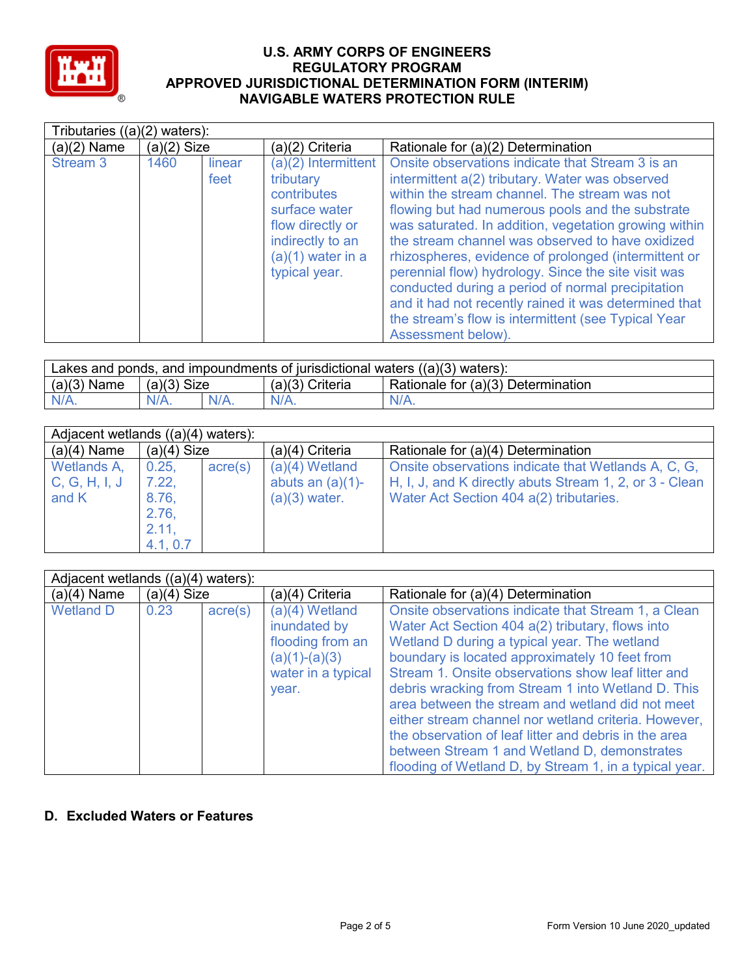

|               | Tributaries $((a)(2)$ waters): |                |                                                                                                                                                  |                                                                                                                                                                                                                                                                                                                                                                                                                                                                                                                                                                                                                                 |  |  |
|---------------|--------------------------------|----------------|--------------------------------------------------------------------------------------------------------------------------------------------------|---------------------------------------------------------------------------------------------------------------------------------------------------------------------------------------------------------------------------------------------------------------------------------------------------------------------------------------------------------------------------------------------------------------------------------------------------------------------------------------------------------------------------------------------------------------------------------------------------------------------------------|--|--|
| $(a)(2)$ Name | $(a)(2)$ Size                  |                | (a)(2) Criteria                                                                                                                                  | Rationale for (a)(2) Determination                                                                                                                                                                                                                                                                                                                                                                                                                                                                                                                                                                                              |  |  |
| Stream 3      | 1460                           | linear<br>feet | (a)(2) Intermittent<br>tributary<br>contributes<br>surface water<br>flow directly or<br>indirectly to an<br>$(a)(1)$ water in a<br>typical year. | Onsite observations indicate that Stream 3 is an<br>intermittent a(2) tributary. Water was observed<br>within the stream channel. The stream was not<br>flowing but had numerous pools and the substrate<br>was saturated. In addition, vegetation growing within<br>the stream channel was observed to have oxidized<br>rhizospheres, evidence of prolonged (intermittent or<br>perennial flow) hydrology. Since the site visit was<br>conducted during a period of normal precipitation<br>and it had not recently rained it was determined that<br>the stream's flow is intermittent (see Typical Year<br>Assessment below). |  |  |

| Lakes and ponds, and impoundments of jurisdictional waters $((a)(3)$ waters): |               |         |                   |                                    |  |
|-------------------------------------------------------------------------------|---------------|---------|-------------------|------------------------------------|--|
| $(a)(3)$ Name                                                                 | $(a)(3)$ Size |         | $(a)(3)$ Criteria | Rationale for (a)(3) Determination |  |
| $N/A$ .                                                                       |               | $N/A$ . | $N/A$ .           | $N/A$ .                            |  |

| Adjacent wetlands ((a)(4) waters): |               |                  |                     |                                                         |  |
|------------------------------------|---------------|------------------|---------------------|---------------------------------------------------------|--|
| $(a)(4)$ Name                      | $(a)(4)$ Size |                  | $(a)(4)$ Criteria   | Rationale for (a)(4) Determination                      |  |
| Wetlands A,                        | 0.25,         | $\text{acre}(s)$ | $(a)(4)$ Wetland    | Onsite observations indicate that Wetlands A, C, G,     |  |
| C, G, H, I, J                      | 7.22,         |                  | abuts an $(a)(1)$ - | H, I, J, and K directly abuts Stream 1, 2, or 3 - Clean |  |
| and K                              | 8.76,         |                  | $(a)(3)$ water.     | Water Act Section 404 a(2) tributaries.                 |  |
|                                    | 2.76,         |                  |                     |                                                         |  |
|                                    | 2.11,         |                  |                     |                                                         |  |
|                                    | 4.1, 0.7      |                  |                     |                                                         |  |

|                  | Adjacent wetlands $((a)(4)$ waters): |                  |                                                                                                        |                                                                                                                                                                                                                                                                                                                                                                                                                                                                                                                                                                                                      |  |
|------------------|--------------------------------------|------------------|--------------------------------------------------------------------------------------------------------|------------------------------------------------------------------------------------------------------------------------------------------------------------------------------------------------------------------------------------------------------------------------------------------------------------------------------------------------------------------------------------------------------------------------------------------------------------------------------------------------------------------------------------------------------------------------------------------------------|--|
| $(a)(4)$ Name    | $(a)(4)$ Size                        |                  | (a)(4) Criteria                                                                                        | Rationale for (a)(4) Determination                                                                                                                                                                                                                                                                                                                                                                                                                                                                                                                                                                   |  |
| <b>Wetland D</b> | 0.23                                 | $\text{acre}(s)$ | $(a)(4)$ Wetland<br>inundated by<br>flooding from an<br>$(a)(1)-(a)(3)$<br>water in a typical<br>year. | Onsite observations indicate that Stream 1, a Clean<br>Water Act Section 404 a(2) tributary, flows into<br>Wetland D during a typical year. The wetland<br>boundary is located approximately 10 feet from<br>Stream 1. Onsite observations show leaf litter and<br>debris wracking from Stream 1 into Wetland D. This<br>area between the stream and wetland did not meet<br>either stream channel nor wetland criteria. However,<br>the observation of leaf litter and debris in the area<br>between Stream 1 and Wetland D, demonstrates<br>flooding of Wetland D, by Stream 1, in a typical year. |  |

# **D. Excluded Waters or Features**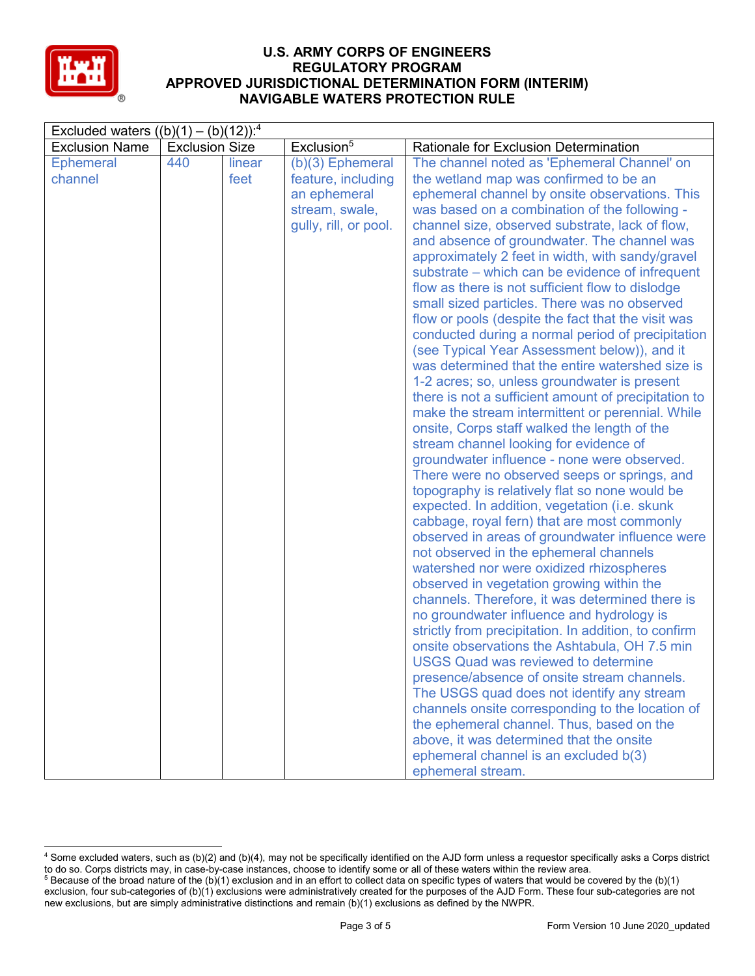

| Excluded waters $((b)(1) - (b)(12))$ : <sup>4</sup> |                       |        |                        |                                                                                       |  |
|-----------------------------------------------------|-----------------------|--------|------------------------|---------------------------------------------------------------------------------------|--|
| <b>Exclusion Name</b>                               | <b>Exclusion Size</b> |        | Exclusion <sup>5</sup> | Rationale for Exclusion Determination                                                 |  |
| <b>Ephemeral</b>                                    | 440                   | linear | $(b)(3)$ Ephemeral     | The channel noted as 'Ephemeral Channel' on                                           |  |
| channel                                             |                       | feet   | feature, including     | the wetland map was confirmed to be an                                                |  |
|                                                     |                       |        | an ephemeral           | ephemeral channel by onsite observations. This                                        |  |
|                                                     |                       |        | stream, swale,         | was based on a combination of the following -                                         |  |
|                                                     |                       |        | gully, rill, or pool.  | channel size, observed substrate, lack of flow,                                       |  |
|                                                     |                       |        |                        | and absence of groundwater. The channel was                                           |  |
|                                                     |                       |        |                        | approximately 2 feet in width, with sandy/gravel                                      |  |
|                                                     |                       |        |                        | substrate – which can be evidence of infrequent                                       |  |
|                                                     |                       |        |                        | flow as there is not sufficient flow to dislodge                                      |  |
|                                                     |                       |        |                        | small sized particles. There was no observed                                          |  |
|                                                     |                       |        |                        | flow or pools (despite the fact that the visit was                                    |  |
|                                                     |                       |        |                        | conducted during a normal period of precipitation                                     |  |
|                                                     |                       |        |                        | (see Typical Year Assessment below)), and it                                          |  |
|                                                     |                       |        |                        | was determined that the entire watershed size is                                      |  |
|                                                     |                       |        |                        | 1-2 acres; so, unless groundwater is present                                          |  |
|                                                     |                       |        |                        | there is not a sufficient amount of precipitation to                                  |  |
|                                                     |                       |        |                        | make the stream intermittent or perennial. While                                      |  |
|                                                     |                       |        |                        | onsite, Corps staff walked the length of the                                          |  |
|                                                     |                       |        |                        | stream channel looking for evidence of<br>groundwater influence - none were observed. |  |
|                                                     |                       |        |                        | There were no observed seeps or springs, and                                          |  |
|                                                     |                       |        |                        | topography is relatively flat so none would be                                        |  |
|                                                     |                       |        |                        | expected. In addition, vegetation (i.e. skunk                                         |  |
|                                                     |                       |        |                        | cabbage, royal fern) that are most commonly                                           |  |
|                                                     |                       |        |                        | observed in areas of groundwater influence were                                       |  |
|                                                     |                       |        |                        | not observed in the ephemeral channels                                                |  |
|                                                     |                       |        |                        | watershed nor were oxidized rhizospheres                                              |  |
|                                                     |                       |        |                        | observed in vegetation growing within the                                             |  |
|                                                     |                       |        |                        | channels. Therefore, it was determined there is                                       |  |
|                                                     |                       |        |                        | no groundwater influence and hydrology is                                             |  |
|                                                     |                       |        |                        | strictly from precipitation. In addition, to confirm                                  |  |
|                                                     |                       |        |                        | onsite observations the Ashtabula, OH 7.5 min                                         |  |
|                                                     |                       |        |                        | <b>USGS Quad was reviewed to determine</b>                                            |  |
|                                                     |                       |        |                        | presence/absence of onsite stream channels.                                           |  |
|                                                     |                       |        |                        | The USGS quad does not identify any stream                                            |  |
|                                                     |                       |        |                        | channels onsite corresponding to the location of                                      |  |
|                                                     |                       |        |                        | the ephemeral channel. Thus, based on the                                             |  |
|                                                     |                       |        |                        | above, it was determined that the onsite                                              |  |
|                                                     |                       |        |                        | ephemeral channel is an excluded b(3)                                                 |  |
|                                                     |                       |        |                        | ephemeral stream.                                                                     |  |

 <sup>4</sup> Some excluded waters, such as (b)(2) and (b)(4), may not be specifically identified on the AJD form unless a requestor specifically asks a Corps district to do so. Corps districts may, in case-by-case instances, choose to identify some or all of these waters within the review area. <sup>5</sup> Because of the broad nature of the (b)(1) exclusion and in an effort to collect data on specific types of waters that would be covered by the (b)(1)

exclusion, four sub-categories of (b)(1) exclusions were administratively created for the purposes of the AJD Form. These four sub-categories are not new exclusions, but are simply administrative distinctions and remain (b)(1) exclusions as defined by the NWPR.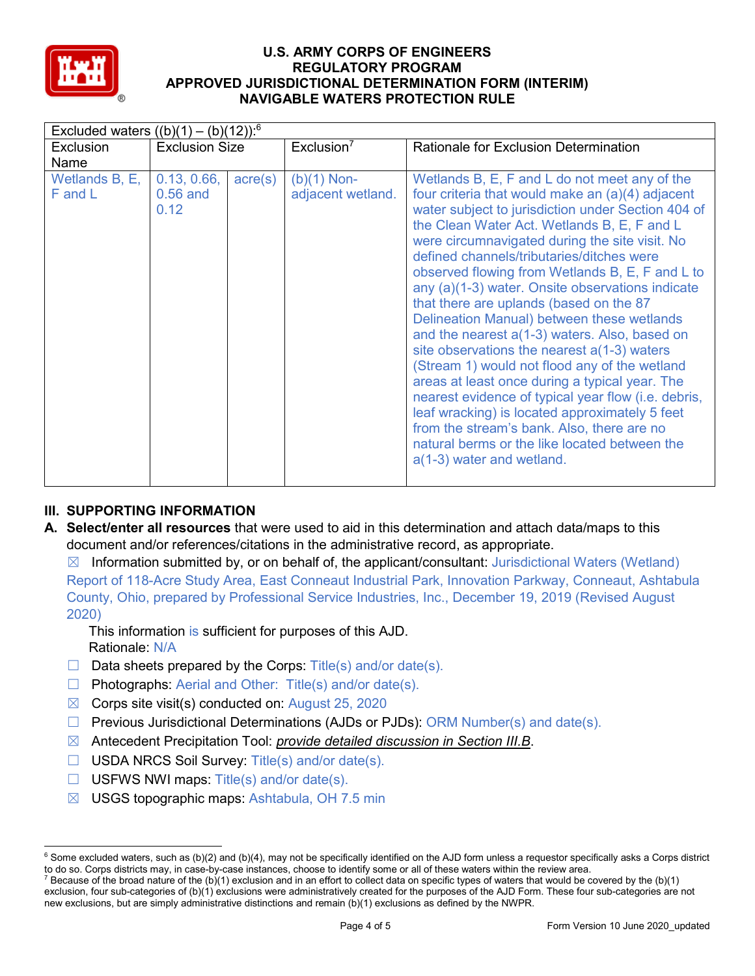

|                           | Excluded waters $((b)(1) - (b)(12))$ : <sup>6</sup> |                  |                                    |                                                                                                                                                                                                                                                                                                                                                                                                                                                                                                                                                                                                                                                                                                                                                                                                                                                                                                                                                   |  |  |
|---------------------------|-----------------------------------------------------|------------------|------------------------------------|---------------------------------------------------------------------------------------------------------------------------------------------------------------------------------------------------------------------------------------------------------------------------------------------------------------------------------------------------------------------------------------------------------------------------------------------------------------------------------------------------------------------------------------------------------------------------------------------------------------------------------------------------------------------------------------------------------------------------------------------------------------------------------------------------------------------------------------------------------------------------------------------------------------------------------------------------|--|--|
| Exclusion                 | <b>Exclusion Size</b>                               |                  | Exclusion <sup>7</sup>             | Rationale for Exclusion Determination                                                                                                                                                                                                                                                                                                                                                                                                                                                                                                                                                                                                                                                                                                                                                                                                                                                                                                             |  |  |
| Name                      |                                                     |                  |                                    |                                                                                                                                                                                                                                                                                                                                                                                                                                                                                                                                                                                                                                                                                                                                                                                                                                                                                                                                                   |  |  |
| Wetlands B, E,<br>F and L | 0.13, 0.66,<br>$0.56$ and<br>0.12                   | $\text{acre}(s)$ | $(b)(1)$ Non-<br>adjacent wetland. | Wetlands B, E, F and L do not meet any of the<br>four criteria that would make an (a)(4) adjacent<br>water subject to jurisdiction under Section 404 of<br>the Clean Water Act. Wetlands B, E, F and L<br>were circumnavigated during the site visit. No<br>defined channels/tributaries/ditches were<br>observed flowing from Wetlands B, E, F and L to<br>any (a)(1-3) water. Onsite observations indicate<br>that there are uplands (based on the 87<br>Delineation Manual) between these wetlands<br>and the nearest a(1-3) waters. Also, based on<br>site observations the nearest $a(1-3)$ waters<br>(Stream 1) would not flood any of the wetland<br>areas at least once during a typical year. The<br>nearest evidence of typical year flow (i.e. debris,<br>leaf wracking) is located approximately 5 feet<br>from the stream's bank. Also, there are no<br>natural berms or the like located between the<br>$a(1-3)$ water and wetland. |  |  |

# **III. SUPPORTING INFORMATION**

**A. Select/enter all resources** that were used to aid in this determination and attach data/maps to this document and/or references/citations in the administrative record, as appropriate.

 $\boxtimes$  Information submitted by, or on behalf of, the applicant/consultant: Jurisdictional Waters (Wetland) Report of 118-Acre Study Area, East Conneaut Industrial Park, Innovation Parkway, Conneaut, Ashtabula County, Ohio, prepared by Professional Service Industries, Inc., December 19, 2019 (Revised August 2020)

This information is sufficient for purposes of this AJD. Rationale: N/A

- $\Box$  Data sheets prepared by the Corps: Title(s) and/or date(s).
- □ Photographs: Aerial and Other: Title(s) and/or date(s).
- $\boxtimes$  Corps site visit(s) conducted on: August 25, 2020
- $\Box$  Previous Jurisdictional Determinations (AJDs or PJDs): ORM Number(s) and date(s).
- ☒ Antecedent Precipitation Tool: *provide detailed discussion in Section III.B*.
- ☐ USDA NRCS Soil Survey: Title(s) and/or date(s).
- $\Box$  USFWS NWI maps: Title(s) and/or date(s).
- $\boxtimes$  USGS topographic maps: Ashtabula, OH 7.5 min

 $6$  Some excluded waters, such as (b)(2) and (b)(4), may not be specifically identified on the AJD form unless a requestor specifically asks a Corps district to do so. Corps districts may, in case-by-case instances, choose to identify some or all of these waters within the review area.

<sup>&</sup>lt;sup>7</sup> Because of the broad nature of the (b)(1) exclusion and in an effort to collect data on specific types of waters that would be covered by the (b)(1) exclusion, four sub-categories of (b)(1) exclusions were administratively created for the purposes of the AJD Form. These four sub-categories are not new exclusions, but are simply administrative distinctions and remain (b)(1) exclusions as defined by the NWPR.